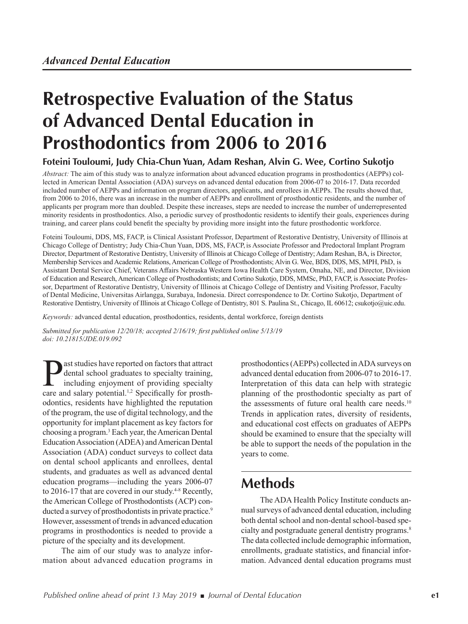# **Retrospective Evaluation of the Status of Advanced Dental Education in Prosthodontics from 2006 to 2016**

#### **Foteini Touloumi, Judy Chia-Chun Yuan, Adam Reshan, Alvin G. Wee, Cortino Sukotjo**

*Abstract:* The aim of this study was to analyze information about advanced education programs in prosthodontics (AEPPs) collected in American Dental Association (ADA) surveys on advanced dental education from 2006-07 to 2016-17. Data recorded included number of AEPPs and information on program directors, applicants, and enrollees in AEPPs. The results showed that, from 2006 to 2016, there was an increase in the number of AEPPs and enrollment of prosthodontic residents, and the number of applicants per program more than doubled. Despite these increases, steps are needed to increase the number of underrepresented minority residents in prosthodontics. Also, a periodic survey of prosthodontic residents to identify their goals, experiences during training, and career plans could benefit the specialty by providing more insight into the future prosthodontic workforce.

Foteini Touloumi, DDS, MS, FACP, is Clinical Assistant Professor, Department of Restorative Dentistry, University of Illinois at Chicago College of Dentistry; Judy Chia-Chun Yuan, DDS, MS, FACP, is Associate Professor and Predoctoral Implant Program Director, Department of Restorative Dentistry, University of Illinois at Chicago College of Dentistry; Adam Reshan, BA, is Director, Membership Services and Academic Relations, American College of Prosthodontists; Alvin G. Wee, BDS, DDS, MS, MPH, PhD, is Assistant Dental Service Chief, Veterans Affairs Nebraska Western Iowa Health Care System, Omaha, NE, and Director, Division of Education and Research, American College of Prosthodontists; and Cortino Sukotjo, DDS, MMSc, PhD, FACP, is Associate Professor, Department of Restorative Dentistry, University of Illinois at Chicago College of Dentistry and Visiting Professor, Faculty of Dental Medicine, Universitas Airlangga, Surabaya, Indonesia. Direct correspondence to Dr. Cortino Sukotjo, Department of Restorative Dentistry, University of Illinois at Chicago College of Dentistry, 801 S. Paulina St., Chicago, IL 60612; csukotjo@uic.edu.

*Keywords:* advanced dental education, prosthodontics, residents, dental workforce, foreign dentists

*Submitted for publication 12/20/18; accepted 2/16/19; first published online 5/13/19 doi: 10.21815/JDE.019.092*

**Past studies have reported on factors that attract**<br>dental school graduates to specialty training,<br>including enjoyment of providing specialty<br>care and salary potential <sup>1,2</sup> Specifically for prosthdental school graduates to specialty training, including enjoyment of providing specialty care and salary potential.<sup>1,2</sup> Specifically for prosthodontics, residents have highlighted the reputation of the program, the use of digital technology, and the opportunity for implant placement as key factors for choosing a program.3 Each year, the American Dental Education Association (ADEA) and American Dental Association (ADA) conduct surveys to collect data on dental school applicants and enrollees, dental students, and graduates as well as advanced dental education programs—including the years 2006-07 to 2016-17 that are covered in our study.<sup>4-8</sup> Recently, the American College of Prosthodontists (ACP) conducted a survey of prosthodontists in private practice.<sup>9</sup> However, assessment of trends in advanced education programs in prosthodontics is needed to provide a picture of the specialty and its development.

The aim of our study was to analyze information about advanced education programs in

prosthodontics (AEPPs) collected in ADA surveys on advanced dental education from 2006-07 to 2016-17. Interpretation of this data can help with strategic planning of the prosthodontic specialty as part of the assessments of future oral health care needs.<sup>10</sup> Trends in application rates, diversity of residents, and educational cost effects on graduates of AEPPs should be examined to ensure that the specialty will be able to support the needs of the population in the years to come.

## **Methods**

The ADA Health Policy Institute conducts annual surveys of advanced dental education, including both dental school and non-dental school-based specialty and postgraduate general dentistry programs.8 The data collected include demographic information, enrollments, graduate statistics, and financial information. Advanced dental education programs must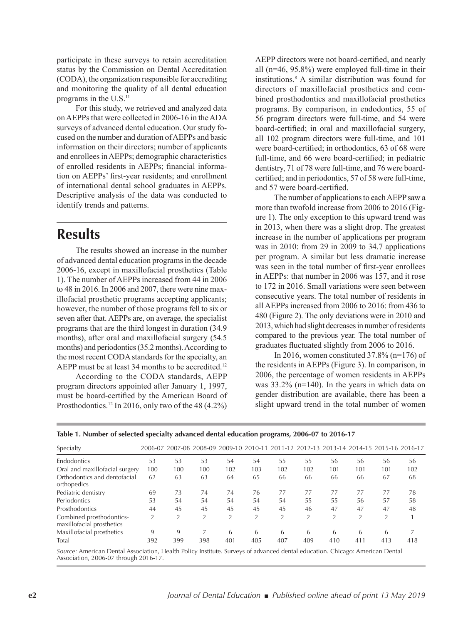participate in these surveys to retain accreditation status by the Commission on Dental Accreditation (CODA), the organization responsible for accrediting and monitoring the quality of all dental education programs in the U.S.<sup>11</sup>

For this study, we retrieved and analyzed data on AEPPs that were collected in 2006-16 in the ADA surveys of advanced dental education. Our study focused on the number and duration of AEPPs and basic information on their directors; number of applicants and enrollees in AEPPs; demographic characteristics of enrolled residents in AEPPs; financial information on AEPPs' first-year residents; and enrollment of international dental school graduates in AEPPs. Descriptive analysis of the data was conducted to identify trends and patterns.

### **Results**

The results showed an increase in the number of advanced dental education programs in the decade 2006-16, except in maxillofacial prosthetics (Table 1). The number of AEPPs increased from 44 in 2006 to 48 in 2016. In 2006 and 2007, there were nine maxillofacial prosthetic programs accepting applicants; however, the number of those programs fell to six or seven after that. AEPPs are, on average, the specialist programs that are the third longest in duration (34.9 months), after oral and maxillofacial surgery (54.5 months) and periodontics (35.2 months). According to the most recent CODA standards for the specialty, an AEPP must be at least  $34$  months to be accredited.<sup>12</sup>

According to the CODA standards, AEPP program directors appointed after January 1, 1997, must be board-certified by the American Board of Prosthodontics.<sup>12</sup> In 2016, only two of the 48  $(4.2\%)$ 

AEPP directors were not board-certified, and nearly all (n=46, 95.8%) were employed full-time in their institutions.8 A similar distribution was found for directors of maxillofacial prosthetics and combined prosthodontics and maxillofacial prosthetics programs. By comparison, in endodontics, 55 of 56 program directors were full-time, and 54 were board-certified; in oral and maxillofacial surgery, all 102 program directors were full-time, and 101 were board-certified; in orthodontics, 63 of 68 were full-time, and 66 were board-certified; in pediatric dentistry, 71 of 78 were full-time, and 76 were boardcertified; and in periodontics, 57 of 58 were full-time, and 57 were board-certified.

The number of applications to each AEPP saw a more than twofold increase from 2006 to 2016 (Figure 1). The only exception to this upward trend was in 2013, when there was a slight drop. The greatest increase in the number of applications per program was in 2010: from 29 in 2009 to 34.7 applications per program. A similar but less dramatic increase was seen in the total number of first-year enrollees in AEPPs: that number in 2006 was 157, and it rose to 172 in 2016. Small variations were seen between consecutive years. The total number of residents in all AEPPs increased from 2006 to 2016: from 436 to 480 (Figure 2). The only deviations were in 2010 and 2013, which had slight decreases in number of residents compared to the previous year. The total number of graduates fluctuated slightly from 2006 to 2016.

In 2016, women constituted  $37.8\%$  (n=176) of the residents in AEPPs (Figure 3). In comparison, in 2006, the percentage of women residents in AEPPs was 33.2% (n=140). In the years in which data on gender distribution are available, there has been a slight upward trend in the total number of women

| Specialty                                             |                |                |     |                |     |     |                |                |                |                | 2006-07 2007-08 2008-09 2009-10 2010-11 2011-12 2012-13 2013-14 2014-15 2015-16 2016-17 |
|-------------------------------------------------------|----------------|----------------|-----|----------------|-----|-----|----------------|----------------|----------------|----------------|-----------------------------------------------------------------------------------------|
| Endodontics                                           | 53             | 53             | 53  | 54             | 54  | 55  | 55             | 56             | 56             | 56             | 56                                                                                      |
| Oral and maxillofacial surgery                        | 100            | 100            | 100 | 102            | 103 | 102 | 102            | 101            | 101            | 101            | 102                                                                                     |
| Orthodontics and dentofacial<br>orthopedics           | 62             | 63             | 63  | 64             | 65  | 66  | 66             | 66             | 66             | 67             | 68                                                                                      |
| Pediatric dentistry                                   | 69             | 73             | 74  | 74             | 76  | 77  | 77             | 77             | 77             | 77             | 78                                                                                      |
| Periodontics                                          | 53             | 54             | 54  | 54             | 54  | 54  | 55             | 55             | 56             | 57             | 58                                                                                      |
| Prosthodontics                                        | 44             | 45             | 45  | 45             | 45  | 45  | 46             | 47             | 47             | 47             | 48                                                                                      |
| Combined prosthodontics-<br>maxillofacial prosthetics | $\overline{2}$ | $\overline{2}$ | 2   | $\overline{2}$ | 2   | 2   | $\overline{2}$ | $\overline{2}$ | $\overline{2}$ | $\overline{2}$ |                                                                                         |
| Maxillofacial prosthetics                             | 9              | 9              |     | 6              | 6   | 6   | 6              | 6              | 6              | 6              |                                                                                         |
| Total                                                 | 392            | 399            | 398 | 401            | 405 | 407 | 409            | 410            | 411            | 413            | 418                                                                                     |

**Table 1. Number of selected specialty advanced dental education programs, 2006-07 to 2016-17**

*Source:* American Dental Association, Health Policy Institute. Surveys of advanced dental education. Chicago: American Dental Association, 2006-07 through 2016-17.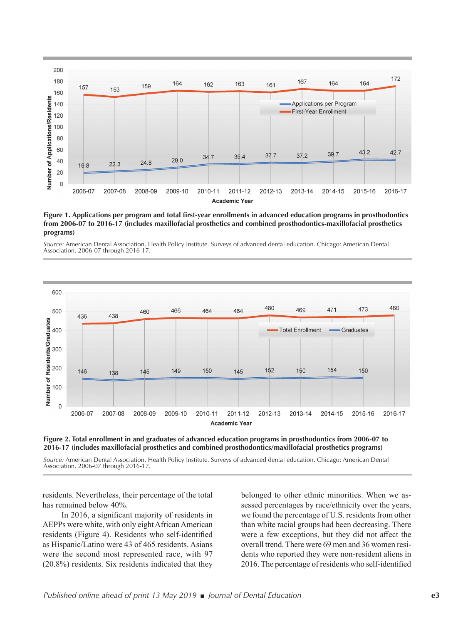

**Figure 1. Applications per program and total first-year enrollments in advanced education programs in prosthodontics from 2006-07 to 2016-17 (includes maxillofacial prosthetics and combined prosthodontics-maxillofacial prosthetics programs)**





**Figure 2. Total enrollment in and graduates of advanced education programs in prosthodontics from 2006-07 to 2016-17 (includes maxillofacial prosthetics and combined prosthodontics/maxillofacial prosthetics programs)**

*Source:* American Dental Association, Health Policy Institute. Surveys of advanced dental education. Chicago: American Dental Association, 2006-07 through 2016-17.

residents. Nevertheless, their percentage of the total has remained below 40%.

In 2016, a significant majority of residents in AEPPs were white, with only eight African American residents (Figure 4). Residents who self-identified as Hispanic/Latino were 43 of 465 residents. Asians were the second most represented race, with 97 (20.8%) residents. Six residents indicated that they

belonged to other ethnic minorities. When we assessed percentages by race/ethnicity over the years, we found the percentage of U.S. residents from other than white racial groups had been decreasing. There were a few exceptions, but they did not affect the overall trend. There were 69 men and 36 women residents who reported they were non-resident aliens in 2016. The percentage of residents who self-identified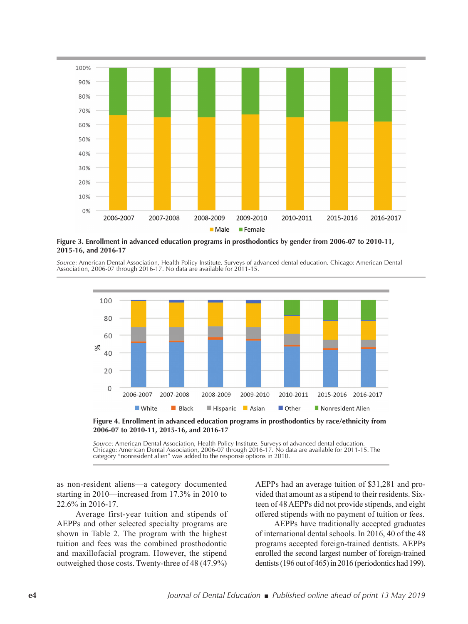

**Figure 3. Enrollment in advanced education programs in prosthodontics by gender from 2006-07 to 2010-11, 2015-16, and 2016-17**

*Source:* American Dental Association, Health Policy Institute. Surveys of advanced dental education. Chicago: American Dental Association, 2006-07 through 2016-17. No data are available for 2011-15.



**Figure 4. Enrollment in advanced education programs in prosthodontics by race/ethnicity from 2006-07 to 2010-11, 2015-16, and 2016-17**

*Source:* American Dental Association, Health Policy Institute. Surveys of advanced dental education. Chicago: American Dental Association, 2006-07 through 2016-17. No data are available for 2011-15. The category "nonresident alien" was added to the response options in 2010.

as non-resident aliens—a category documented starting in 2010—increased from 17.3% in 2010 to 22.6% in 2016-17.

Average first-year tuition and stipends of AEPPs and other selected specialty programs are shown in Table 2. The program with the highest tuition and fees was the combined prosthodontic and maxillofacial program. However, the stipend outweighed those costs. Twenty-three of 48 (47.9%)

AEPPs had an average tuition of \$31,281 and provided that amount as a stipend to their residents. Sixteen of 48 AEPPs did not provide stipends, and eight offered stipends with no payment of tuition or fees.

AEPPs have traditionally accepted graduates of international dental schools. In 2016, 40 of the 48 programs accepted foreign-trained dentists. AEPPs enrolled the second largest number of foreign-trained dentists (196 out of 465) in 2016 (periodontics had 199).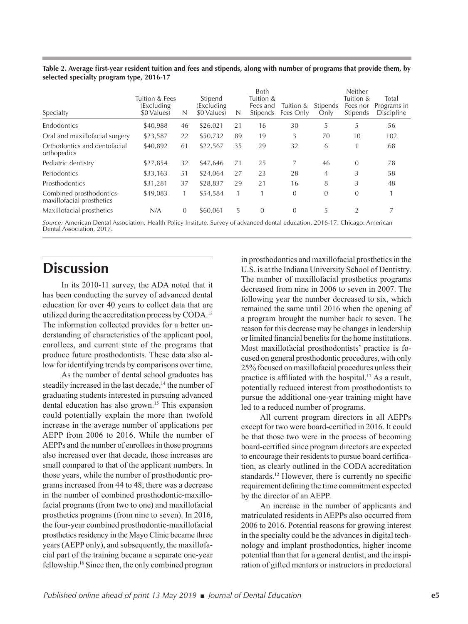| Specialty                                             | Tuition & Fees<br>(Excluding<br>\$0 Values | N        | Stipend<br>(Excluding)<br>\$0 Values | N  | <b>Both</b><br>Tuition &<br>Fees and<br><b>Stipends</b> | Tuition &<br>Fees Only | <b>Stipends</b><br>Only | Neither<br>Tuition &<br>Fees nor<br>Stipends | Total<br>Programs in<br><b>Discipline</b> |
|-------------------------------------------------------|--------------------------------------------|----------|--------------------------------------|----|---------------------------------------------------------|------------------------|-------------------------|----------------------------------------------|-------------------------------------------|
| Endodontics                                           | \$40,988                                   | 46       | \$26,021                             | 21 | 16                                                      | 30                     | 5                       | 5                                            | 56                                        |
| Oral and maxillofacial surgery                        | \$23,587                                   | 22       | \$50,732                             | 89 | 19                                                      | 3                      | 70                      | 10                                           | 102                                       |
| Orthodontics and dentofacial<br>orthopedics           | \$40,892                                   | 61       | \$22,567                             | 35 | 29                                                      | 32                     | 6                       |                                              | 68                                        |
| Pediatric dentistry                                   | \$27,854                                   | 32       | \$47.646                             | 71 | 25                                                      |                        | 46                      | $\Omega$                                     | 78                                        |
| Periodontics                                          | \$33,163                                   | 51       | \$24,064                             | 27 | 23                                                      | 28                     | 4                       | 3                                            | 58                                        |
| Prosthodontics                                        | \$31,281                                   | 37       | \$28,837                             | 29 | 21                                                      | 16                     | 8                       | 3                                            | 48                                        |
| Combined prosthodontics-<br>maxillofacial prosthetics | \$49,083                                   |          | \$54,584                             |    |                                                         | 0                      | $\theta$                | $\overline{0}$                               |                                           |
| Maxillofacial prosthetics                             | N/A                                        | $\theta$ | \$60,061                             | 5  | $\theta$                                                | $\overline{0}$         | 5                       | 2                                            |                                           |
|                                                       | .                                          |          |                                      |    | $\cdot$ $\cdot$                                         |                        |                         |                                              |                                           |

**Table 2. Average first-year resident tuition and fees and stipends, along with number of programs that provide them, by selected specialty program type, 2016-17**

*Source:* American Dental Association, Health Policy Institute. Survey of advanced dental education, 2016-17. Chicago: American Dental Association, 2017.

### **Discussion**

In its 2010-11 survey, the ADA noted that it has been conducting the survey of advanced dental education for over 40 years to collect data that are utilized during the accreditation process by CODA.<sup>13</sup> The information collected provides for a better understanding of characteristics of the applicant pool, enrollees, and current state of the programs that produce future prosthodontists. These data also allow for identifying trends by comparisons over time.

As the number of dental school graduates has steadily increased in the last decade,<sup>14</sup> the number of graduating students interested in pursuing advanced dental education has also grown.15 This expansion could potentially explain the more than twofold increase in the average number of applications per AEPP from 2006 to 2016. While the number of AEPPs and the number of enrollees in those programs also increased over that decade, those increases are small compared to that of the applicant numbers. In those years, while the number of prosthodontic programs increased from 44 to 48, there was a decrease in the number of combined prosthodontic-maxillofacial programs (from two to one) and maxillofacial prosthetics programs (from nine to seven). In 2016, the four-year combined prosthodontic-maxillofacial prosthetics residency in the Mayo Clinic became three years (AEPP only), and subsequently, the maxillofacial part of the training became a separate one-year fellowship.16 Since then, the only combined program

in prosthodontics and maxillofacial prosthetics in the U.S. is at the Indiana University School of Dentistry. The number of maxillofacial prosthetics programs decreased from nine in 2006 to seven in 2007. The following year the number decreased to six, which remained the same until 2016 when the opening of a program brought the number back to seven. The reason for this decrease may be changes in leadership or limited financial benefits for the home institutions. Most maxillofacial prosthodontists' practice is focused on general prosthodontic procedures, with only 25% focused on maxillofacial procedures unless their practice is affiliated with the hospital.<sup>17</sup> As a result, potentially reduced interest from prosthodontists to pursue the additional one-year training might have led to a reduced number of programs.

All current program directors in all AEPPs except for two were board-certified in 2016. It could be that those two were in the process of becoming board-certified since program directors are expected to encourage their residents to pursue board certification, as clearly outlined in the CODA accreditation standards.<sup>12</sup> However, there is currently no specific requirement defining the time commitment expected by the director of an AEPP.

An increase in the number of applicants and matriculated residents in AEPPs also occurred from 2006 to 2016. Potential reasons for growing interest in the specialty could be the advances in digital technology and implant prosthodontics, higher income potential than that for a general dentist, and the inspiration of gifted mentors or instructors in predoctoral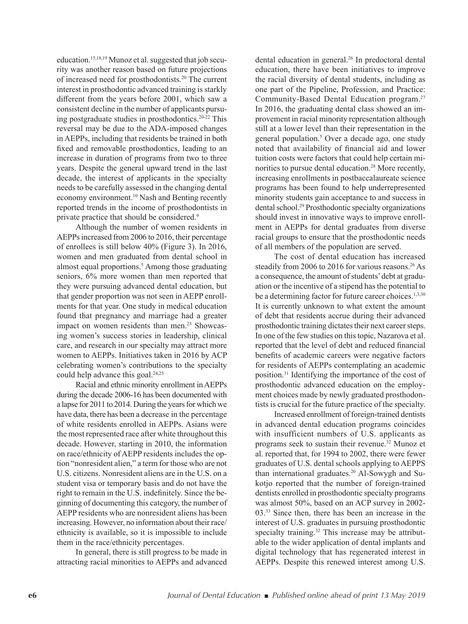education.15,18,19 Munoz et al. suggested that job security was another reason based on future projections of increased need for prosthodontists.20 The current interest in prosthodontic advanced training is starkly different from the years before 2001, which saw a consistent decline in the number of applicants pursuing postgraduate studies in prosthodontics.20-22 This reversal may be due to the ADA-imposed changes in AEPPs, including that residents be trained in both fixed and removable prosthodontics, leading to an increase in duration of programs from two to three years. Despite the general upward trend in the last decade, the interest of applicants in the specialty needs to be carefully assessed in the changing dental economy environment.10 Nash and Benting recently reported trends in the income of prosthodontists in private practice that should be considered.<sup>9</sup>

Although the number of women residents in AEPPs increased from 2006 to 2016, their percentage of enrollees is still below 40% (Figure 3). In 2016, women and men graduated from dental school in almost equal proportions.<sup>5</sup> Among those graduating seniors, 6% more women than men reported that they were pursuing advanced dental education, but that gender proportion was not seen in AEPP enrollments for that year. One study in medical education found that pregnancy and marriage had a greater impact on women residents than men.<sup>23</sup> Showcasing women's success stories in leadership, clinical care, and research in our specialty may attract more women to AEPPs. Initiatives taken in 2016 by ACP celebrating women's contributions to the specialty could help advance this goal.<sup>24,25</sup>

Racial and ethnic minority enrollment in AEPPs during the decade 2006-16 has been documented with a lapse for 2011 to 2014. During the years for which we have data, there has been a decrease in the percentage of white residents enrolled in AEPPs. Asians were the most represented race after white throughout this decade. However, starting in 2010, the information on race/ethnicity of AEPP residents includes the option "nonresident alien," a term for those who are not U.S. citizens. Nonresident aliens are in the U.S. on a student visa or temporary basis and do not have the right to remain in the U.S. indefinitely. Since the beginning of documenting this category, the number of AEPP residents who are nonresident aliens has been increasing. However, no information about their race/ ethnicity is available, so it is impossible to include them in the race/ethnicity percentages.

In general, there is still progress to be made in attracting racial minorities to AEPPs and advanced

dental education in general.<sup>26</sup> In predoctoral dental education, there have been initiatives to improve the racial diversity of dental students, including as one part of the Pipeline, Profession, and Practice: Community-Based Dental Education program.27 In 2016, the graduating dental class showed an improvement in racial minority representation although still at a lower level than their representation in the general population.5 Over a decade ago, one study noted that availability of financial aid and lower tuition costs were factors that could help certain minorities to pursue dental education.<sup>28</sup> More recently, increasing enrollments in postbaccalaureate science programs has been found to help underrepresented minority students gain acceptance to and success in dental school.29 Prosthodontic specialty organizations should invest in innovative ways to improve enrollment in AEPPs for dental graduates from diverse racial groups to ensure that the prosthodontic needs of all members of the population are served.

The cost of dental education has increased steadily from 2006 to 2016 for various reasons.<sup>26</sup> As a consequence, the amount of students' debt at graduation or the incentive of a stipend has the potential to be a determining factor for future career choices.<sup>1,3,30</sup> It is currently unknown to what extent the amount of debt that residents accrue during their advanced prosthodontic training dictates their next career steps. In one of the few studies on this topic, Nazarova et al. reported that the level of debt and reduced financial benefits of academic careers were negative factors for residents of AEPPs contemplating an academic position.31 Identifying the importance of the cost of prosthodontic advanced education on the employment choices made by newly graduated prosthodontists is crucial for the future practice of the specialty.

Increased enrollment of foreign-trained dentists in advanced dental education programs coincides with insufficient numbers of U.S. applicants as programs seek to sustain their revenue.32 Munoz et al. reported that, for 1994 to 2002, there were fewer graduates of U.S. dental schools applying to AEPPS than international graduates.<sup>20</sup> Al-Sowygh and Sukotjo reported that the number of foreign-trained dentists enrolled in prosthodontic specialty programs was almost 50%, based on an ACP survey in 2002- 03.33 Since then, there has been an increase in the interest of U.S. graduates in pursuing prosthodontic specialty training.<sup>32</sup> This increase may be attributable to the wider application of dental implants and digital technology that has regenerated interest in AEPPs. Despite this renewed interest among U.S.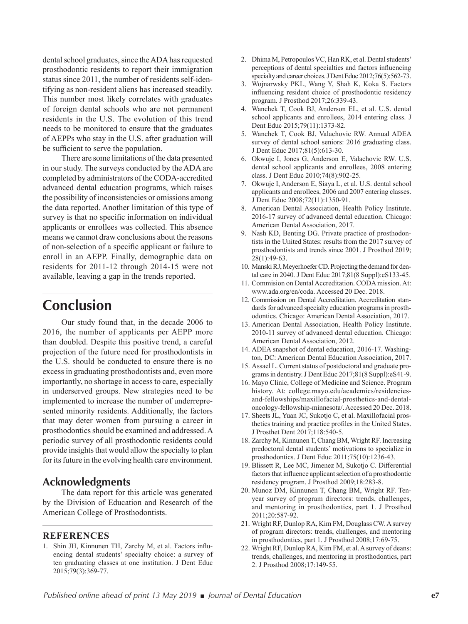dental school graduates, since the ADA has requested prosthodontic residents to report their immigration status since 2011, the number of residents self-identifying as non-resident aliens has increased steadily. This number most likely correlates with graduates of foreign dental schools who are not permanent residents in the U.S. The evolution of this trend needs to be monitored to ensure that the graduates of AEPPs who stay in the U.S. after graduation will be sufficient to serve the population.

There are some limitations of the data presented in our study. The surveys conducted by the ADA are completed by administrators of the CODA-accredited advanced dental education programs, which raises the possibility of inconsistencies or omissions among the data reported. Another limitation of this type of survey is that no specific information on individual applicants or enrollees was collected. This absence means we cannot draw conclusions about the reasons of non-selection of a specific applicant or failure to enroll in an AEPP. Finally, demographic data on residents for 2011-12 through 2014-15 were not available, leaving a gap in the trends reported.

### **Conclusion**

Our study found that, in the decade 2006 to 2016, the number of applicants per AEPP more than doubled. Despite this positive trend, a careful projection of the future need for prosthodontists in the U.S. should be conducted to ensure there is no excess in graduating prosthodontists and, even more importantly, no shortage in access to care, especially in underserved groups. New strategies need to be implemented to increase the number of underrepresented minority residents. Additionally, the factors that may deter women from pursuing a career in prosthodontics should be examined and addressed. A periodic survey of all prosthodontic residents could provide insights that would allow the specialty to plan for its future in the evolving health care environment.

#### **Acknowledgments**

The data report for this article was generated by the Division of Education and Research of the American College of Prosthodontists.

#### **REFERENCES**

1. Shin JH, Kinnunen TH, Zarchy M, et al. Factors influencing dental students' specialty choice: a survey of ten graduating classes at one institution. J Dent Educ 2015;79(3):369-77.

- 2. Dhima M, Petropoulos VC, Han RK, et al. Dental students' perceptions of dental specialties and factors influencing specialty and career choices. J Dent Educ 2012;76(5):562-73.
- 3. Wojnarwsky PKL, Wang Y, Shah K, Koka S. Factors influencing resident choice of prosthodontic residency program. J Prosthod 2017;26:339-43.
- 4. Wanchek T, Cook BJ, Anderson EL, et al. U.S. dental school applicants and enrollees, 2014 entering class. J Dent Educ 2015;79(11):1373-82.
- 5. Wanchek T, Cook BJ, Valachovic RW. Annual ADEA survey of dental school seniors: 2016 graduating class. J Dent Educ 2017;81(5):613-30.
- 6. Okwuje I, Jones G, Anderson E, Valachovic RW. U.S. dental school applicants and enrollees, 2008 entering class. J Dent Educ 2010;74(8):902-25.
- 7. Okwuje I, Anderson E, Siaya L, et al. U.S. dental school applicants and enrollees, 2006 and 2007 entering classes. J Dent Educ 2008;72(11):1350-91.
- 8. American Dental Association, Health Policy Institute. 2016-17 survey of advanced dental education. Chicago: American Dental Association, 2017.
- 9. Nash KD, Benting DG. Private practice of prosthodontists in the United States: results from the 2017 survey of prosthodontists and trends since 2001. J Prosthod 2019; 28(1):49-63.
- 10. Manski RJ, Meyerhoefer CD. Projecting the demand for dental care in 2040. J Dent Educ 2017;81(8 Suppl):eS133-45.
- 11. Commision on Dental Accreditation. CODA mission. At: www.ada.org/en/coda. Accessed 20 Dec. 2018.
- 12. Commission on Dental Accreditation. Accreditation standards for advanced specialty education programs in prosthodontics. Chicago: American Dental Association, 2017.
- 13. American Dental Association, Health Policy Institute. 2010-11 survey of advanced dental education. Chicago: American Dental Association, 2012.
- 14. ADEA snapshot of dental education, 2016-17. Washington, DC: American Dental Education Association, 2017.
- 15. Assael L. Current status of postdoctoral and graduate programs in dentistry. J Dent Educ 2017;81(8 Suppl):eS41-9.
- 16. Mayo Clinic, College of Medicine and Science. Program history. At: college.mayo.edu/academics/residenciesand-fellowships/maxillofacial-prosthetics-and-dentaloncology-fellowship-minnesota/. Accessed 20 Dec. 2018.
- 17. Sheets JL, Yuan JC, Sukotjo C, et al. Maxillofacial prosthetics training and practice profiles in the United States. J Prosthet Dent 2017;118:540-5.
- 18. Zarchy M, Kinnunen T, Chang BM, Wright RF. Increasing predoctoral dental students' motivations to specialize in prosthodontics. J Dent Educ 2011;75(10):1236-43.
- 19. Blissett R, Lee MC, Jimenez M, Sukotjo C. Differential factors that influence applicant selection of a prosthodontic residency program. J Prosthod 2009;18:283-8.
- 20. Munoz DM, Kinnunen T, Chang BM, Wright RF. Tenyear survey of program directors: trends, challenges, and mentoring in prosthodontics, part 1. J Prosthod 2011;20:587-92.
- 21. Wright RF, Dunlop RA, Kim FM, Douglass CW. A survey of program directors: trends, challenges, and mentoring in prosthodontics, part 1. J Prosthod 2008;17:69-75.
- 22. Wright RF, Dunlop RA, Kim FM, et al. A survey of deans: trends, challenges, and mentoring in prosthodontics, part 2. J Prosthod 2008;17:149-55.